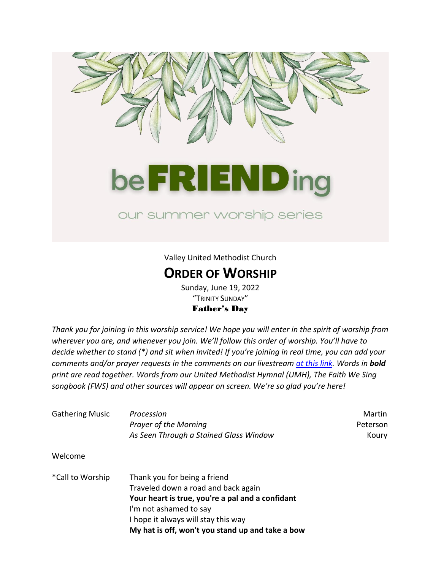

Valley United Methodist Church

## **ORDER OF WORSHIP**

Sunday, June 19, 2022 "TRINITY SUNDAY" Father's Day

*Thank you for joining in this worship service! We hope you will enter in the spirit of worship from wherever you are, and whenever you join. We'll follow this order of worship. You'll have to decide whether to stand (\*) and sit when invited! If you're joining in real time, you can add your comments and/or prayer requests in the comments on our livestream [at this link.](https://www.youtube.com/channel/UCs_Hdqd-84IbPMn-oTc3YTw) Words in bold print are read together. Words from our United Methodist Hymnal (UMH), The Faith We Sing songbook (FWS) and other sources will appear on screen. We're so glad you're here!*

| <b>Gathering Music</b> | Procession                                       | Martin   |  |
|------------------------|--------------------------------------------------|----------|--|
|                        | <b>Prayer of the Morning</b>                     | Peterson |  |
|                        | As Seen Through a Stained Glass Window           | Koury    |  |
| Welcome                |                                                  |          |  |
| *Call to Worship       | Thank you for being a friend                     |          |  |
|                        | Traveled down a road and back again              |          |  |
|                        | Your heart is true, you're a pal and a confidant |          |  |
|                        | I'm not ashamed to say                           |          |  |
|                        | I hope it always will stay this way              |          |  |
|                        | My hat is off, won't you stand up and take a bow |          |  |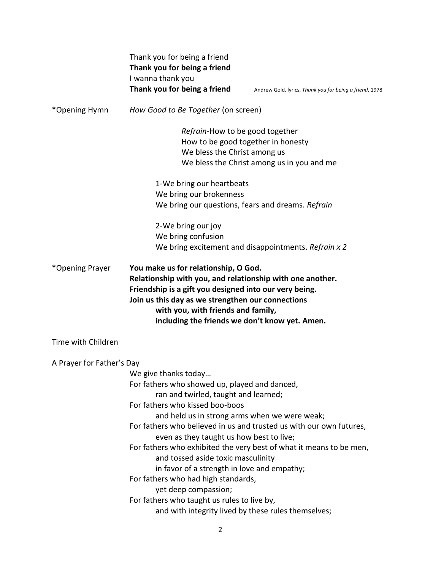|                           | Thank you for being a friend<br>Thank you for being a friend<br>I wanna thank you<br>Thank you for being a friend                                                                                                                                                                                                                                                                                                                                                                                                                                                              | Andrew Gold, lyrics, Thank you for being a friend, 1978             |  |
|---------------------------|--------------------------------------------------------------------------------------------------------------------------------------------------------------------------------------------------------------------------------------------------------------------------------------------------------------------------------------------------------------------------------------------------------------------------------------------------------------------------------------------------------------------------------------------------------------------------------|---------------------------------------------------------------------|--|
| *Opening Hymn             | How Good to Be Together (on screen)                                                                                                                                                                                                                                                                                                                                                                                                                                                                                                                                            |                                                                     |  |
|                           | Refrain-How to be good together<br>How to be good together in honesty<br>We bless the Christ among us                                                                                                                                                                                                                                                                                                                                                                                                                                                                          | We bless the Christ among us in you and me                          |  |
|                           | 1-We bring our heartbeats<br>We bring our brokenness<br>We bring our questions, fears and dreams. Refrain                                                                                                                                                                                                                                                                                                                                                                                                                                                                      |                                                                     |  |
|                           | 2-We bring our joy<br>We bring confusion                                                                                                                                                                                                                                                                                                                                                                                                                                                                                                                                       | We bring excitement and disappointments. Refrain x 2                |  |
| *Opening Prayer           | You make us for relationship, O God.<br>Relationship with you, and relationship with one another.<br>Friendship is a gift you designed into our very being.<br>Join us this day as we strengthen our connections<br>with you, with friends and family,<br>including the friends we don't know yet. Amen.                                                                                                                                                                                                                                                                       |                                                                     |  |
| Time with Children        |                                                                                                                                                                                                                                                                                                                                                                                                                                                                                                                                                                                |                                                                     |  |
| A Prayer for Father's Day |                                                                                                                                                                                                                                                                                                                                                                                                                                                                                                                                                                                |                                                                     |  |
|                           | We give thanks today<br>For fathers who showed up, played and danced,<br>ran and twirled, taught and learned;<br>For fathers who kissed boo-boos<br>and held us in strong arms when we were weak;<br>For fathers who believed in us and trusted us with our own futures,<br>even as they taught us how best to live;<br>and tossed aside toxic masculinity<br>in favor of a strength in love and empathy;<br>For fathers who had high standards,<br>yet deep compassion;<br>For fathers who taught us rules to live by,<br>and with integrity lived by these rules themselves; | For fathers who exhibited the very best of what it means to be men, |  |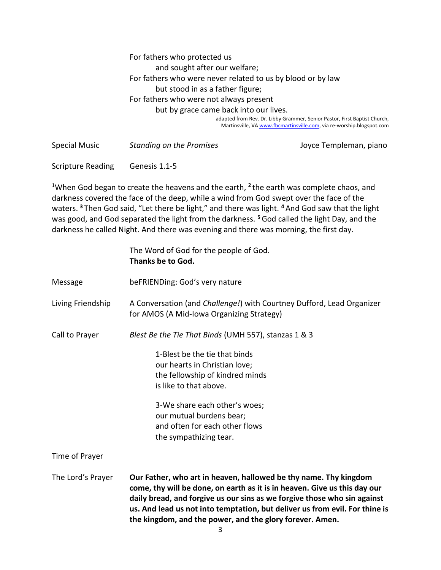For fathers who protected us and sought after our welfare; For fathers who were never related to us by blood or by law but stood in as a father figure; For fathers who were not always present but by grace came back into our lives. adapted from Rev. Dr. Libby Grammer, Senior Pastor, First Baptist Church, Martinsville, V[A www.fbcmartinsville.com,](http://www.fbcmartinsville.com/) via re-worship.blogspot.com

Special Music *Standing on the Promises* Joyce Templeman, piano

Scripture Reading Genesis 1.1-5

<sup>1</sup>When God began to create the heavens and the earth, <sup>2</sup> the earth was complete chaos, and darkness covered the face of the deep, while a wind from God swept over the face of the waters. **<sup>3</sup>** Then God said, "Let there be light," and there was light. **<sup>4</sup>** And God saw that the light was good, and God separated the light from the darkness. **<sup>5</sup>**God called the light Day, and the darkness he called Night. And there was evening and there was morning, the first day.

|                   | The Word of God for the people of God.<br>Thanks be to God.                                                                                                                                                                                                                                                                                                          |  |  |
|-------------------|----------------------------------------------------------------------------------------------------------------------------------------------------------------------------------------------------------------------------------------------------------------------------------------------------------------------------------------------------------------------|--|--|
| Message           | beFRIENDing: God's very nature                                                                                                                                                                                                                                                                                                                                       |  |  |
| Living Friendship | A Conversation (and Challenge!) with Courtney Dufford, Lead Organizer<br>for AMOS (A Mid-Iowa Organizing Strategy)                                                                                                                                                                                                                                                   |  |  |
| Call to Prayer    | Blest Be the Tie That Binds (UMH 557), stanzas 1 & 3                                                                                                                                                                                                                                                                                                                 |  |  |
|                   | 1-Blest be the tie that binds<br>our hearts in Christian love;<br>the fellowship of kindred minds<br>is like to that above.<br>3-We share each other's woes;<br>our mutual burdens bear;<br>and often for each other flows<br>the sympathizing tear.                                                                                                                 |  |  |
| Time of Prayer    |                                                                                                                                                                                                                                                                                                                                                                      |  |  |
| The Lord's Prayer | Our Father, who art in heaven, hallowed be thy name. Thy kingdom<br>come, thy will be done, on earth as it is in heaven. Give us this day our<br>daily bread, and forgive us our sins as we forgive those who sin against<br>us. And lead us not into temptation, but deliver us from evil. For thine is<br>the kingdom, and the power, and the glory forever. Amen. |  |  |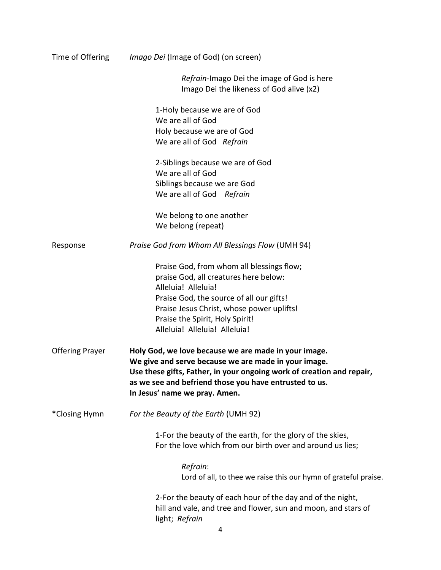| Time of Offering       | <i>Imago Dei</i> (Image of God) (on screen)                                                                                                                                                                                                                                      |  |  |
|------------------------|----------------------------------------------------------------------------------------------------------------------------------------------------------------------------------------------------------------------------------------------------------------------------------|--|--|
|                        | Refrain-Imago Dei the image of God is here<br>Imago Dei the likeness of God alive (x2)                                                                                                                                                                                           |  |  |
|                        | 1-Holy because we are of God                                                                                                                                                                                                                                                     |  |  |
|                        | We are all of God                                                                                                                                                                                                                                                                |  |  |
|                        | Holy because we are of God                                                                                                                                                                                                                                                       |  |  |
|                        | We are all of God Refrain                                                                                                                                                                                                                                                        |  |  |
|                        | 2-Siblings because we are of God                                                                                                                                                                                                                                                 |  |  |
|                        | We are all of God                                                                                                                                                                                                                                                                |  |  |
|                        | Siblings because we are God                                                                                                                                                                                                                                                      |  |  |
|                        | We are all of God Refrain                                                                                                                                                                                                                                                        |  |  |
|                        | We belong to one another                                                                                                                                                                                                                                                         |  |  |
|                        | We belong (repeat)                                                                                                                                                                                                                                                               |  |  |
| Response               | Praise God from Whom All Blessings Flow (UMH 94)                                                                                                                                                                                                                                 |  |  |
|                        | Praise God, from whom all blessings flow;                                                                                                                                                                                                                                        |  |  |
|                        | praise God, all creatures here below:                                                                                                                                                                                                                                            |  |  |
|                        | Alleluia! Alleluia!                                                                                                                                                                                                                                                              |  |  |
|                        | Praise God, the source of all our gifts!                                                                                                                                                                                                                                         |  |  |
|                        | Praise Jesus Christ, whose power uplifts!                                                                                                                                                                                                                                        |  |  |
|                        | Praise the Spirit, Holy Spirit!                                                                                                                                                                                                                                                  |  |  |
|                        | Alleluia! Alleluia! Alleluia!                                                                                                                                                                                                                                                    |  |  |
| <b>Offering Prayer</b> | Holy God, we love because we are made in your image.<br>We give and serve because we are made in your image.<br>Use these gifts, Father, in your ongoing work of creation and repair,<br>as we see and befriend those you have entrusted to us.<br>In Jesus' name we pray. Amen. |  |  |
| *Closing Hymn          | For the Beauty of the Earth (UMH 92)                                                                                                                                                                                                                                             |  |  |
|                        | 1-For the beauty of the earth, for the glory of the skies,<br>For the love which from our birth over and around us lies;                                                                                                                                                         |  |  |
|                        | Refrain:                                                                                                                                                                                                                                                                         |  |  |
|                        | Lord of all, to thee we raise this our hymn of grateful praise.                                                                                                                                                                                                                  |  |  |
|                        | 2-For the beauty of each hour of the day and of the night,<br>hill and vale, and tree and flower, sun and moon, and stars of<br>light; Refrain                                                                                                                                   |  |  |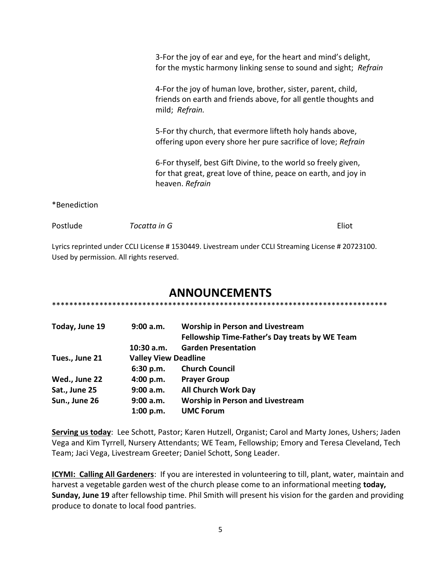3-For the joy of ear and eye, for the heart and mind's delight, for the mystic harmony linking sense to sound and sight; *Refrain* 4-For the joy of human love, brother, sister, parent, child, friends on earth and friends above, for all gentle thoughts and mild; *Refrain.* 5-For thy church, that evermore lifteth holy hands above, offering upon every shore her pure sacrifice of love; *Refrain* 6-For thyself, best Gift Divine, to the world so freely given, for that great, great love of thine, peace on earth, and joy in heaven. *Refrain* \*Benediction

Lyrics reprinted under CCLI License # 1530449. Livestream under CCLI Streaming License # 20723100.

Postlude *Tocatta in G* Eliot

Used by permission. All rights reserved.

## **ANNOUNCEMENTS**

\*\*\*\*\*\*\*\*\*\*\*\*\*\*\*\*\*\*\*\*\*\*\*\*\*\*\*\*\*\*\*\*\*\*\*\*\*\*\*\*\*\*\*\*\*\*\*\*\*\*\*\*\*\*\*\*\*\*\*\*\*\*\*\*\*\*\*\*\*\*\*\*\*\*\*\*\*\*

| Today, June 19 | 9:00 a.m.                   | <b>Worship in Person and Livestream</b><br>Fellowship Time-Father's Day treats by WE Team |
|----------------|-----------------------------|-------------------------------------------------------------------------------------------|
|                | $10:30$ a.m.                | <b>Garden Presentation</b>                                                                |
| Tues., June 21 | <b>Valley View Deadline</b> |                                                                                           |
|                | 6:30 p.m.                   | <b>Church Council</b>                                                                     |
| Wed., June 22  | 4:00 p.m.                   | <b>Prayer Group</b>                                                                       |
| Sat., June 25  | 9:00 a.m.                   | <b>All Church Work Day</b>                                                                |
| Sun., June 26  | 9:00 a.m.                   | <b>Worship in Person and Livestream</b>                                                   |
|                | 1:00 p.m.                   | <b>UMC Forum</b>                                                                          |

**Serving us today**: Lee Schott, Pastor; Karen Hutzell, Organist; Carol and Marty Jones, Ushers; Jaden Vega and Kim Tyrrell, Nursery Attendants; WE Team, Fellowship; Emory and Teresa Cleveland, Tech Team; Jaci Vega, Livestream Greeter; Daniel Schott, Song Leader.

**ICYMI: Calling All Gardeners**: If you are interested in volunteering to till, plant, water, maintain and harvest a vegetable garden west of the church please come to an informational meeting **today, Sunday, June 19** after fellowship time. Phil Smith will present his vision for the garden and providing produce to donate to local food pantries.